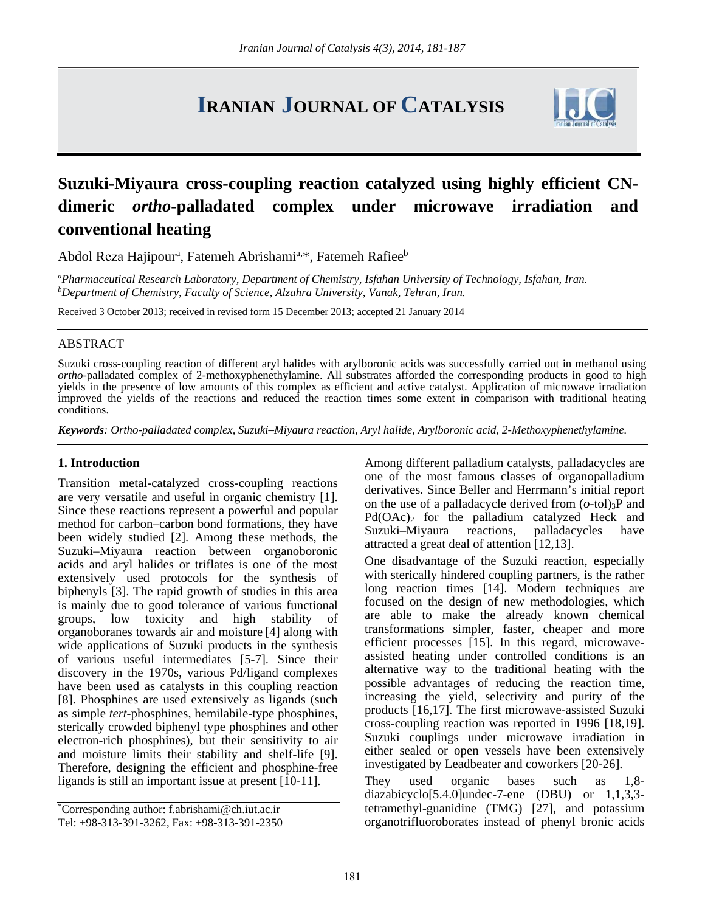# **IRANIAN JOURNAL OF CATALYSIS**



## **Suzuki-Miyaura cross-coupling reaction catalyzed using highly efficient CNdimeric** *ortho***-palladated complex under microwave irradiation and conventional heating**

Abdol Reza Hajipour<sup>a</sup>, Fatemeh Abrishami<sup>a,\*</sup>, Fatemeh Rafiee<sup>b</sup>

*a Pharmaceutical Research Laboratory, Department of Chemistry, Isfahan University of Technology, Isfahan, Iran. b Department of Chemistry, Faculty of Science, Alzahra University, Vanak, Tehran, Iran.*

Received 3 October 2013; received in revised form 15 December 2013; accepted 21 January 2014

#### ABSTRACT

Suzuki cross-coupling reaction of different aryl halides with arylboronic acids was successfully carried out in methanol using *ortho*-palladated complex of 2-methoxyphenethylamine. All substrates afforded the corresponding products in good to high yields in the presence of low amounts of this complex as efficient and active catalyst. Application of microwave irradiation improved the yields of the reactions and reduced the reaction times some extent in comparison with traditional heating conditions.

*Keywords: Ortho-palladated complex, Suzuki–Miyaura reaction, Aryl halide, Arylboronic acid, 2-Methoxyphenethylamine.*

#### **1. Introduction**

Transition metal-catalyzed cross-coupling reactions are very versatile and useful in organic chemistry [1]. Since these reactions represent a powerful and popular method for carbon–carbon bond formations, they have been widely studied [2]. Among these methods, the Suzuki–Miyaura reaction between organoboronic acids and aryl halides or triflates is one of the most extensively used protocols for the synthesis of biphenyls [3]. The rapid growth of studies in this area is mainly due to good tolerance of various functional groups, low toxicity and high stability of organoboranes towards air and moisture [4] along with wide applications of Suzuki products in the synthesis of various useful intermediates [5-7]. Since their discovery in the 1970s, various Pd/ligand complexes have been used as catalysts in this coupling reaction [8]. Phosphines are used extensively as ligands (such as simple *tert*-phosphines, hemilabile-type phosphines, sterically crowded biphenyl type phosphines and other electron-rich phosphines), but their sensitivity to air and moisture limits their stability and shelf-life [9]. Therefore, designing the efficient and phosphine-free ligands is still an important issue at present [10-11].

Among different palladium catalysts, palladacycles are one of the most famous classes of organopalladium derivatives. Since Beller and Herrmann's initial report on the use of a palladacycle derived from  $(o$ -tol)<sub>3</sub>P and Pd(OAc)<sub>2</sub> for the palladium catalyzed Heck and Suzuki–Miyaura reactions, palladacycles have attracted a great deal of attention [12,13].

One disadvantage of the Suzuki reaction, especially with sterically hindered coupling partners, is the rather long reaction times [14]. Modern techniques are focused on the design of new methodologies, which are able to make the already known chemical transformations simpler, faster, cheaper and more efficient processes [15]. In this regard, microwaveassisted heating under controlled conditions is an alternative way to the traditional heating with the possible advantages of reducing the reaction time, increasing the yield, selectivity and purity of the products [16,17]. The first microwave-assisted Suzuki cross-coupling reaction was reported in 1996 [18,19]. Suzuki couplings under microwave irradiation in either sealed or open vessels have been extensively investigated by Leadbeater and coworkers [20-26].

They used organic bases such as 1,8 diazabicyclo[5.4.0]undec-7-ene (DBU) or 1,1,3,3 tetramethyl-guanidine (TMG) [27], and potassium organotrifluoroborates instead of phenyl bronic acids

<sup>\*</sup> Corresponding author: f.abrishami@ch.iut.ac.ir Tel: +98-313-391-3262, Fax: +98-313-391-2350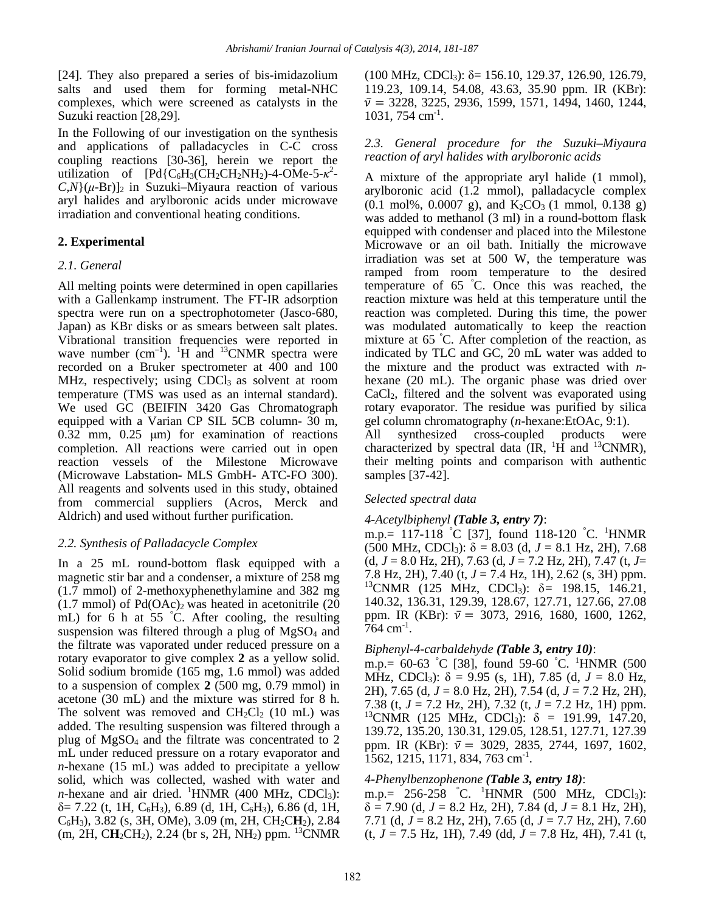[24]. They also prepared a series of bis-imidazolium salts and used them for forming metal-NHC complexes, which were screened as catalysts in the Suzuki reaction [28,29].

In the Following of our investigation on the synthesis and applications of palladacycles in C-C cross coupling reactions [30-36], herein we report the utilization of  $[Pd{C_6}H_3(CH_2CH_2NH_2)-4-OMe-5-k^2 C_{N}(\mu$ -Br)<sub>2</sub> in Suzuki–Miyaura reaction of various aryl halides and arylboronic acids under microwave irradiation and conventional heating conditions.

## **2. Experimental**

## *2.1. General*

All melting points were determined in open capillaries with a Gallenkamp instrument. The FT-IR adsorption spectra were run on a spectrophotometer (Jasco-680, Japan) as KBr disks or as smears between salt plates. Vibrational transition frequencies were reported in wave number  $(cm^{-1})$ . <sup>1</sup>H and <sup>13</sup>CNMR spectra were recorded on a Bruker spectrometer at 400 and 100 MHz, respectively; using  $CDCl<sub>3</sub>$  as solvent at room temperature (TMS was used as an internal standard). We used GC (BEIFIN 3420 Gas Chromatograph equipped with a Varian CP SIL 5CB column- 30 m, 0.32 mm, 0.25 μm) for examination of reactions completion. All reactions were carried out in open reaction vessels of the Milestone Microwave (Microwave Labstation- MLS GmbH- ATC-FO 300). All reagents and solvents used in this study, obtained from commercial suppliers (Acros, Merck and Aldrich) and used without further purification.

## *2.2. Synthesis of Palladacycle Complex*

In a 25 mL round-bottom flask equipped with a magnetic stir bar and a condenser, a mixture of 258 mg (1.7 mmol) of 2-methoxyphenethylamine and 382 mg  $(1.7 \text{ mmol})$  of Pd $(OAc)_2$  was heated in acetonitrile  $(20 \text{ m})$ mL) for 6 h at 55 ° C. After cooling, the resulting suspension was filtered through a plug of  $MgSO<sub>4</sub>$  and the filtrate was vaporated under reduced pressure on a rotary evaporator to give complex **2** as a yellow solid. Solid sodium bromide (165 mg, 1.6 mmol) was added to a suspension of complex **2** (500 mg, 0.79 mmol) in acetone (30 mL) and the mixture was stirred for 8 h. The solvent was removed and  $CH_2Cl_2$  (10 mL) was added. The resulting suspension was filtered through a plug of MgSO4 and the filtrate was concentrated to 2 mL under reduced pressure on a rotary evaporator and *n*-hexane (15 mL) was added to precipitate a yellow solid, which was collected, washed with water and *n*-hexane and air dried.  ${}^{1}$ HNMR (400 MHz, CDCl<sub>3</sub>):  $\delta$  = 7.22 (t, 1H, C<sub>6</sub>H<sub>3</sub>), 6.89 (d, 1H, C<sub>6</sub>H<sub>3</sub>), 6.86 (d, 1H, C6H3), 3.82 (s, 3H, OMe), 3.09 (m, 2H, CH2C**H**2), 2.84  $(m, 2H, CH_2CH_2), 2.24$  (br s, 2H, NH<sub>2</sub>) ppm. <sup>13</sup>CNMR

(100 MHz, CDCl<sub>3</sub>):  $\delta$  = 156.10, 129.37, 126.90, 126.79, 119.23, 109.14, 54.08, 43.63, 35.90 ppm. IR (KBr):  $\bar{v}$  = 3228, 3225, 2936, 1599, 1571, 1494, 1460, 1244,  $1031, 754$  cm<sup>-1</sup>.

#### *2.3. General procedure for the Suzuki–Miyaura reaction of aryl halides with arylboronic acids*

A mixture of the appropriate aryl halide (1 mmol), arylboronic acid (1.2 mmol), palladacycle complex  $(0.1 \text{ mol\%}, 0.0007 \text{ g})$ , and  $K_2CO_3$  (1 mmol, 0.138 g) was added to methanol (3 ml) in a round-bottom flask equipped with condenser and placed into the Milestone Microwave or an oil bath. Initially the microwave irradiation was set at 500 W, the temperature was ramped from room temperature to the desired temperature of 65 <sup>º</sup> C. Once this was reached, the reaction mixture was held at this temperature until the reaction was completed. During this time, the power was modulated automatically to keep the reaction mixture at 65 <sup>º</sup> C. After completion of the reaction, as indicated by TLC and GC, 20 mL water was added to the mixture and the product was extracted with *n*hexane (20 mL). The organic phase was dried over CaCl2, filtered and the solvent was evaporated using rotary evaporator. The residue was purified by silica gel column chromatography (*n*-hexane:EtOAc, 9:1).

All synthesized cross-coupled products were characterized by spectral data  $\overline{(IR, H]}$  and <sup>13</sup>CNMR), their melting points and comparison with authentic samples [37-42].

## *Selected spectral data*

## *4-Acetylbiphenyl (Table 3, entry 7)*:

m.p.= 117-118 °C [37], found 118-120 °C. <sup>1</sup>HNMR (500 MHz, CDCl<sub>3</sub>):  $\delta = 8.03$  (d,  $J = 8.1$  Hz, 2H), 7.68  $(d, J = 8.0 \text{ Hz}, 2\text{H}), 7.63 (d, J = 7.2 \text{ Hz}, 2\text{H}), 7.47 (t, J = 1.2 \text{ Hz})$ 7.8 Hz, 2H), 7.40 (t, *J* = 7.4 Hz, 1H), 2.62 (s, 3H) ppm. 13CNMR (125 MHz, CDCl3): δ*=* 198.15, 146.21, 140.32, 136.31, 129.39, 128.67, 127.71, 127.66, 27.08 ppm. IR (KBr):  $\bar{v} = 3073, 2916, 1680, 1600, 1262,$  $764$  cm<sup>-1</sup>.

## *Biphenyl-4-carbaldehyde (Table 3, entry 10)*:

m.p.= 60-63 °C [38], found 59-60 °C. <sup>1</sup>HNMR (500 MHz, CDCl<sub>3</sub>):  $\delta = 9.95$  (s, 1H), 7.85 (d,  $J = 8.0$  Hz, 2H), 7.65 (d, *J* = 8.0 Hz, 2H), 7.54 (d, *J* = 7.2 Hz, 2H), 7.38 (t, *J* = 7.2 Hz, 2H), 7.32 (t, *J* = 7.2 Hz, 1H) ppm. 13CNMR (125 MHz, CDCl3): δ *=* 191.99, 147.20, 139.72, 135.20, 130.31, 129.05, 128.51, 127.71, 127.39 ppm. IR (KBr):  $\bar{v}$  = 3029, 2835, 2744, 1697, 1602, 1562, 1215, 1171, 834, 763 cm-1.

## *4-Phenylbenzophenone (Table 3, entry 18)*:

m.p.= 256-258 °C. <sup>1</sup>HNMR (500 MHz, CDCl<sub>3</sub>):  $\delta$  = 7.90 (d, *J* = 8.2 Hz, 2H), 7.84 (d, *J* = 8.1 Hz, 2H), 7.71 (d, *J* = 8.2 Hz, 2H), 7.65 (d, *J* = 7.7 Hz, 2H), 7.60 (t, *J* = 7.5 Hz, 1H), 7.49 (dd, *J* = 7.8 Hz, 4H), 7.41 (t,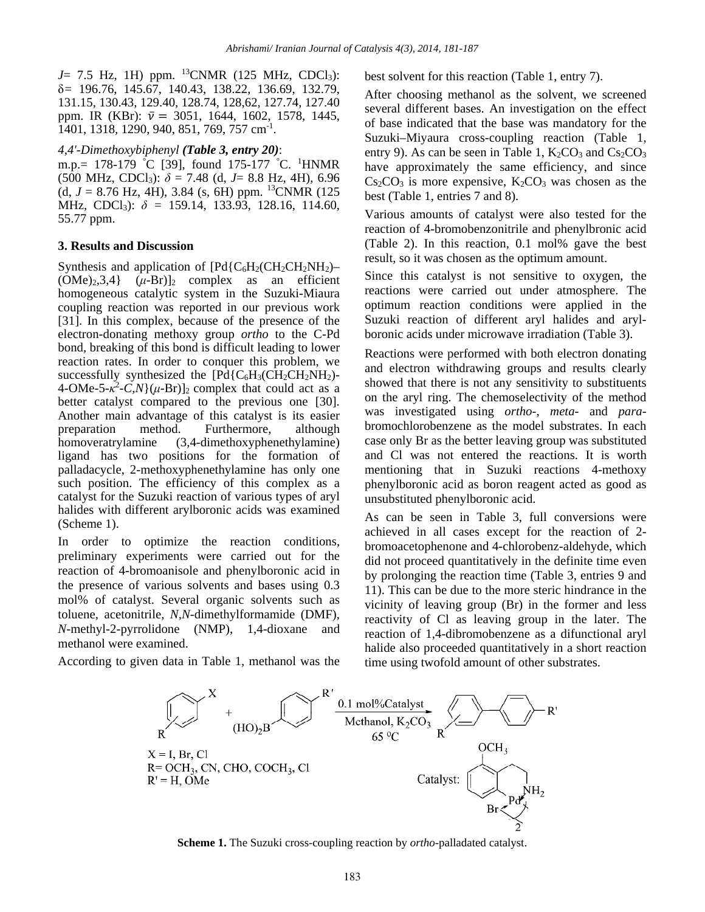$J=$  7.5 Hz, 1H) ppm. <sup>13</sup>CNMR (125 MHz, CDCl<sub>3</sub>): δ*=* 196.76, 145.67, 140.43, 138.22, 136.69, 132.79, 131.15, 130.43, 129.40, 128.74, 128,62, 127.74, 127.40 ppm. IR (KBr):  $\bar{v} = 3051, 1644, 1602, 1578, 1445,$ 1401, 1318, 1290, 940, 851, 769, 757 cm-1.

#### *4,4'-Dimethoxybiphenyl (Table 3, entry 20)*:

m.p.= 178-179 °C [39], found 175-177 °C. <sup>1</sup>HNMR  $(500 \text{ MHz}, \text{CDCl}_3): \delta = 7.48 \text{ (d, } J = 8.8 \text{ Hz, } 4\text{H}), 6.96$ (d,  $J = 8.76$  Hz, 4H), 3.84 (s, 6H) ppm. <sup>13</sup>CNMR (125) MHz, CDCl3): *δ =* 159.14, 133.93, 128.16, 114.60, 55.77 ppm.

## **3. Results and Discussion**

Synthesis and application of  $[Pd{C_6H_2}CH_2CH_2NH_2]$ - $(OMe)<sub>2</sub>,3,4$   $(\mu-Br)<sub>2</sub>$  complex as an efficient homogeneous catalytic system in the Suzuki-Miaura coupling reaction was reported in our previous work [31]. In this complex, because of the presence of the electron-donating methoxy group *ortho* to the C-Pd bond, breaking of this bond is difficult leading to lower reaction rates. In order to conquer this problem, we successfully synthesized the  $[Pd{C_6}H_3(CH_2CH_2NH_2)$ - $4\text{-}OMe\text{-}5-\kappa^2-\tilde{C}N\}(\mu\text{-}Br)]_2$  complex that could act as a better catalyst compared to the previous one [30]. Another main advantage of this catalyst is its easier preparation method. Furthermore, although homoveratrylamine (3,4-dimethoxyphenethylamine) ligand has two positions for the formation of palladacycle, 2-methoxyphenethylamine has only one such position. The efficiency of this complex as a catalyst for the Suzuki reaction of various types of aryl halides with different arylboronic acids was examined (Scheme 1).

In order to optimize the reaction conditions, preliminary experiments were carried out for the reaction of 4-bromoanisole and phenylboronic acid in the presence of various solvents and bases using 0.3 mol% of catalyst. Several organic solvents such as toluene, acetonitrile, *N,N*-dimethylformamide (DMF), *N*-methyl-2-pyrrolidone (NMP), 1,4-dioxane and methanol were examined.

According to given data in Table 1, methanol was the

best solvent for this reaction (Table 1, entry 7).

After choosing methanol as the solvent, we screened several different bases. An investigation on the effect of base indicated that the base was mandatory for the Suzuki–Miyaura cross-coupling reaction (Table 1, entry 9). As can be seen in Table 1,  $K_2CO_3$  and  $Cs_2CO_3$ have approximately the same efficiency, and since  $Cs<sub>2</sub>CO<sub>3</sub>$  is more expensive,  $K<sub>2</sub>CO<sub>3</sub>$  was chosen as the best (Table 1, entries 7 and 8).

Various amounts of catalyst were also tested for the reaction of 4-bromobenzonitrile and phenylbronic acid (Table 2). In this reaction, 0.1 mol% gave the best result, so it was chosen as the optimum amount.

Since this catalyst is not sensitive to oxygen, the reactions were carried out under atmosphere. The optimum reaction conditions were applied in the Suzuki reaction of different aryl halides and arylboronic acids under microwave irradiation (Table 3).

Reactions were performed with both electron donating and electron withdrawing groups and results clearly showed that there is not any sensitivity to substituents on the aryl ring. The chemoselectivity of the method was investigated using *ortho*-, *meta*- and *para*bromochlorobenzene as the model substrates. In each case only Br as the better leaving group was substituted and Cl was not entered the reactions. It is worth mentioning that in Suzuki reactions 4-methoxy phenylboronic acid as boron reagent acted as good as unsubstituted phenylboronic acid.

As can be seen in Table 3, full conversions were achieved in all cases except for the reaction of 2 bromoacetophenone and 4-chlorobenz-aldehyde, which did not proceed quantitatively in the definite time even by prolonging the reaction time (Table 3, entries 9 and 11). This can be due to the more steric hindrance in the vicinity of leaving group (Br) in the former and less reactivity of Cl as leaving group in the later. The reaction of 1,4-dibromobenzene as a difunctional aryl halide also proceeded quantitatively in a short reaction time using twofold amount of other substrates.



**Scheme 1.** The Suzuki cross-coupling reaction by *ortho*-palladated catalyst.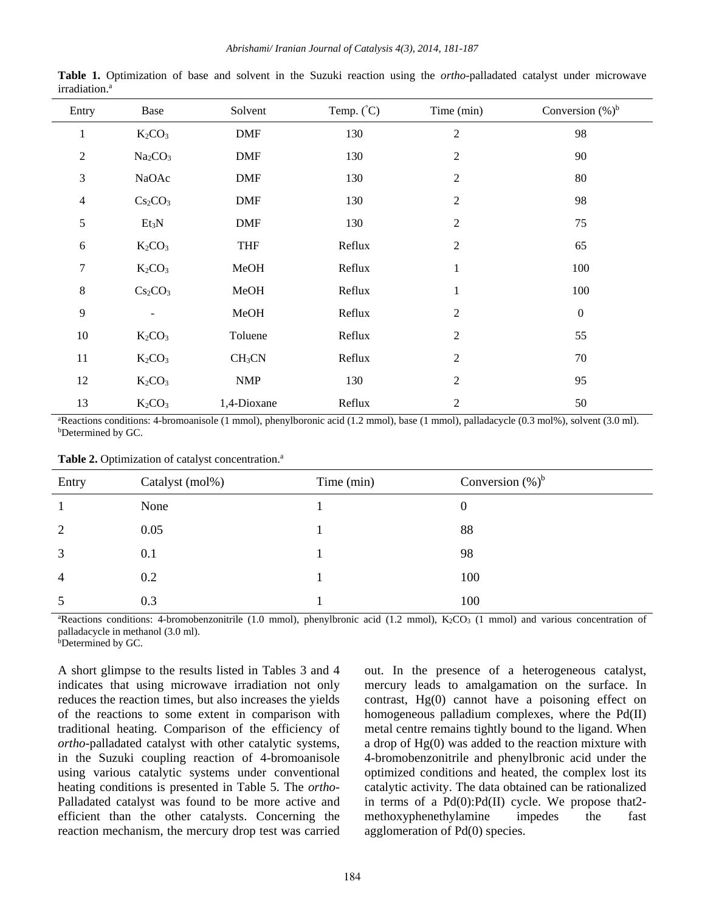| Entry          | Base                            | Solvent            | Temp. $(^{\circ}C)$ | Time (min)     | Conversion $(\%)^b$ |
|----------------|---------------------------------|--------------------|---------------------|----------------|---------------------|
| $\mathbf{1}$   | $K_2CO_3$                       | <b>DMF</b>         | 130                 | $\overline{2}$ | 98                  |
| $\sqrt{2}$     | Na <sub>2</sub> CO <sub>3</sub> | <b>DMF</b>         | 130                 | $\mathbf{2}$   | 90                  |
| $\mathfrak{Z}$ | NaOAc                           | <b>DMF</b>         | 130                 | $\mathbf{2}$   | 80                  |
| $\overline{4}$ | $Cs_2CO_3$                      | <b>DMF</b>         | 130                 | $\mathbf{2}$   | 98                  |
| $\sqrt{5}$     | $Et_3N$                         | <b>DMF</b>         | 130                 | $\mathbf{2}$   | 75                  |
| 6              | $K_2CO_3$                       | <b>THF</b>         | Reflux              | $\overline{2}$ | 65                  |
| $\tau$         | $K_2CO_3$                       | MeOH               | Reflux              | $\mathbf{1}$   | 100                 |
| $8\,$          | Cs <sub>2</sub> CO <sub>3</sub> | MeOH               | Reflux              | $\mathbf{1}$   | 100                 |
| $\overline{9}$ |                                 | MeOH               | Reflux              | $\mathbf{2}$   | $\boldsymbol{0}$    |
| $10\,$         | $K_2CO_3$                       | Toluene            | Reflux              | $\mathbf{2}$   | 55                  |
| 11             | $K_2CO_3$                       | CH <sub>3</sub> CN | Reflux              | $\mathbf{2}$   | 70                  |
| 12             | $K_2CO_3$                       | <b>NMP</b>         | 130                 | $\mathbf{2}$   | 95                  |
| 13             | $K_2CO_3$                       | 1,4-Dioxane        | Reflux              | $\mathfrak{2}$ | 50                  |

**Table 1.** Optimization of base and solvent in the Suzuki reaction using the *ortho*-palladated catalyst under microwave irradiation.<sup>a</sup>

<sup>a</sup>Reactions conditions: 4-bromoanisole (1 mmol), phenylboronic acid (1.2 mmol), base (1 mmol), palladacycle (0.3 mol%), solvent (3.0 ml). bDetermined by GC.

Table 2. Optimization of catalyst concentration.<sup>a</sup>

| Entry          | Catalyst (mol%) | Time (min) | Conversion $(\%)^b$ |
|----------------|-----------------|------------|---------------------|
|                | None            |            | 0                   |
| 2              | 0.05            |            | 88                  |
| 3              | 0.1             |            | 98                  |
| $\overline{4}$ | 0.2             |            | 100                 |
| 5              | 0.3             |            | 100                 |

<sup>a</sup>Reactions conditions: 4-bromobenzonitrile (1.0 mmol), phenylbronic acid (1.2 mmol), K<sub>2</sub>CO<sub>3</sub> (1 mmol) and various concentration of palladacycle in methanol (3.0 ml).

bDetermined by GC.

A short glimpse to the results listed in Tables 3 and 4 indicates that using microwave irradiation not only reduces the reaction times, but also increases the yields of the reactions to some extent in comparison with traditional heating. Comparison of the efficiency of *ortho*-palladated catalyst with other catalytic systems, in the Suzuki coupling reaction of 4-bromoanisole using various catalytic systems under conventional heating conditions is presented in Table 5. The *ortho*-Palladated catalyst was found to be more active and efficient than the other catalysts. Concerning the reaction mechanism, the mercury drop test was carried out. In the presence of a heterogeneous catalyst, mercury leads to amalgamation on the surface. In contrast, Hg(0) cannot have a poisoning effect on homogeneous palladium complexes, where the Pd(II) metal centre remains tightly bound to the ligand. When a drop of Hg(0) was added to the reaction mixture with 4-bromobenzonitrile and phenylbronic acid under the optimized conditions and heated, the complex lost its catalytic activity. The data obtained can be rationalized in terms of a Pd(0):Pd(II) cycle. We propose that2 methoxyphenethylamine impedes the fast agglomeration of Pd(0) species.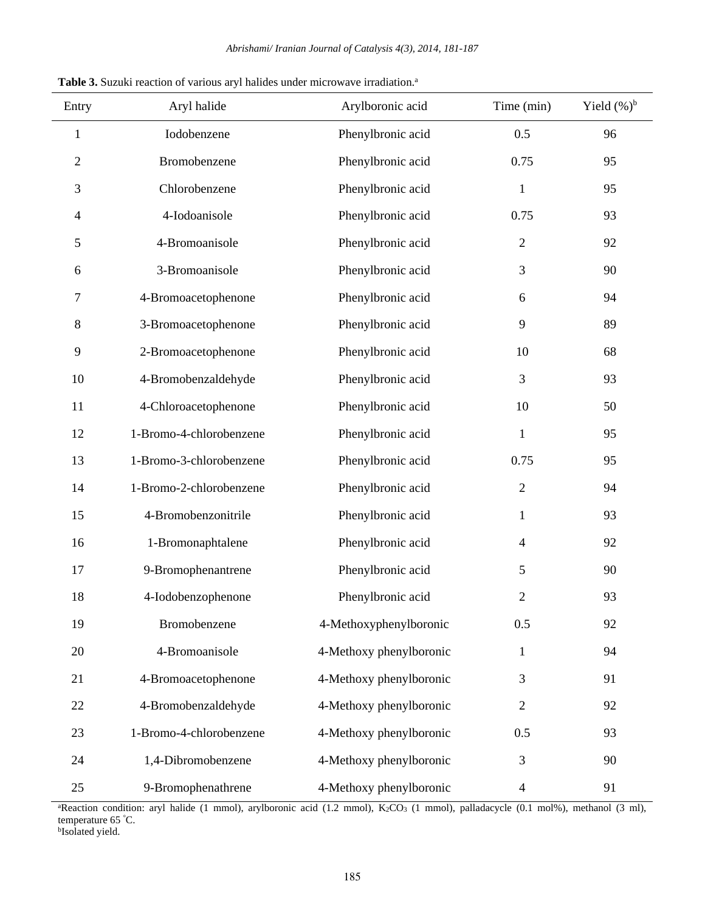| Entry        | Aryl halide             | Arylboronic acid        | Time (min)       | Yield $(\%)^b$ |
|--------------|-------------------------|-------------------------|------------------|----------------|
| $\mathbf{1}$ | Iodobenzene             | Phenylbronic acid       | 0.5              | 96             |
| 2            | Bromobenzene            | Phenylbronic acid       | 0.75             | 95             |
| 3            | Chlorobenzene           | Phenylbronic acid       | $\mathbf 1$      | 95             |
| 4            | 4-Iodoanisole           | Phenylbronic acid       | 0.75             | 93             |
| 5            | 4-Bromoanisole          | Phenylbronic acid       | $\mathfrak{2}$   | 92             |
| 6            | 3-Bromoanisole          | Phenylbronic acid       | 3                | 90             |
| 7            | 4-Bromoacetophenone     | Phenylbronic acid       | $\boldsymbol{6}$ | 94             |
| 8            | 3-Bromoacetophenone     | Phenylbronic acid       | $\overline{9}$   | 89             |
| 9            | 2-Bromoacetophenone     | Phenylbronic acid       | 10               | 68             |
| 10           | 4-Bromobenzaldehyde     | Phenylbronic acid       | 3                | 93             |
| 11           | 4-Chloroacetophenone    | Phenylbronic acid       | 10               | 50             |
| 12           | 1-Bromo-4-chlorobenzene | Phenylbronic acid       | $\mathbf{1}$     | 95             |
| 13           | 1-Bromo-3-chlorobenzene | Phenylbronic acid       | 0.75             | 95             |
| 14           | 1-Bromo-2-chlorobenzene | Phenylbronic acid       | $\mathbf{2}$     | 94             |
| 15           | 4-Bromobenzonitrile     | Phenylbronic acid       | $\mathbf{1}$     | 93             |
| 16           | 1-Bromonaphtalene       | Phenylbronic acid       | $\overline{4}$   | 92             |
| 17           | 9-Bromophenantrene      | Phenylbronic acid       | 5                | 90             |
| 18           | 4-Iodobenzophenone      | Phenylbronic acid       | $\mathbf{2}$     | 93             |
| 19           | Bromobenzene            | 4-Methoxyphenylboronic  | 0.5              | 92             |
| 20           | 4-Bromoanisole          | 4-Methoxy phenylboronic | $\mathbf 1$      | 94             |
| 21           | 4-Bromoacetophenone     | 4-Methoxy phenylboronic | 3                | 91             |
| 22           | 4-Bromobenzaldehyde     | 4-Methoxy phenylboronic | $\mathbf{2}$     | 92             |
| 23           | 1-Bromo-4-chlorobenzene | 4-Methoxy phenylboronic | 0.5              | 93             |
| 24           | 1,4-Dibromobenzene      | 4-Methoxy phenylboronic | 3                | 90             |
| 25           | 9-Bromophenathrene      | 4-Methoxy phenylboronic | $\overline{4}$   | 91             |

Table 3. Suzuki reaction of various aryl halides under microwave irradiation.<sup>a</sup>

<sup>a</sup>Reaction condition: aryl halide (1 mmol), arylboronic acid (1.2 mmol), K<sub>2</sub>CO<sub>3</sub> (1 mmol), palladacycle (0.1 mol%), methanol (3 ml), temperature 65 °C.<br><sup>b</sup>Isolated yield.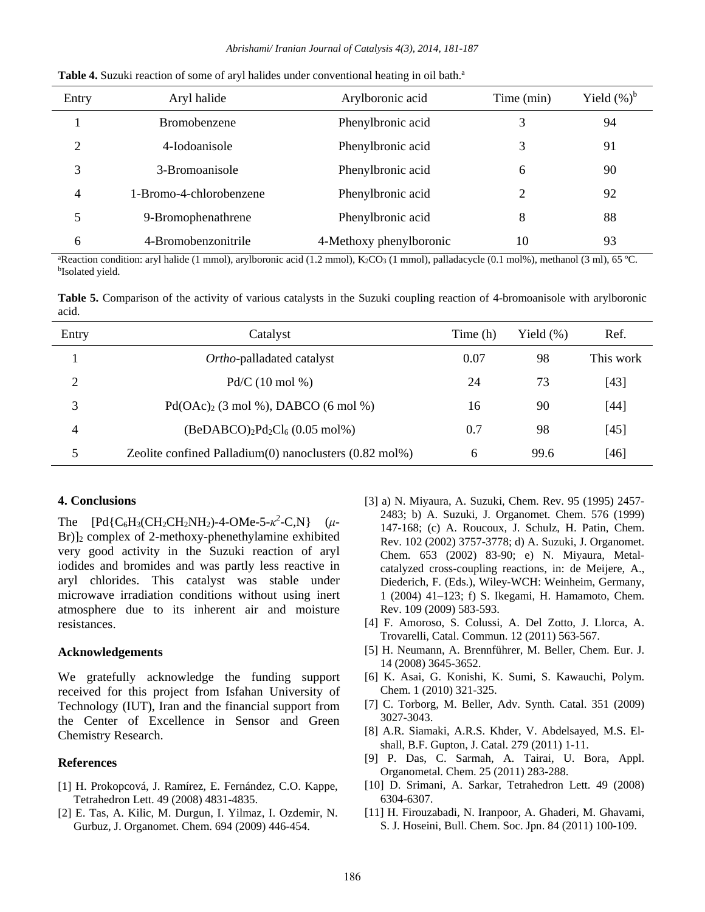| Entry          | Aryl halide             | Arylboronic acid        | Time (min) | Yield $(\%)^b$ |
|----------------|-------------------------|-------------------------|------------|----------------|
|                | Bromobenzene            | Phenylbronic acid       |            | 94             |
| 2              | 4-Iodoanisole           | Phenylbronic acid       | 3          | 91             |
| 3              | 3-Bromoanisole          | Phenylbronic acid       | 6          | 90             |
| $\overline{4}$ | 1-Bromo-4-chlorobenzene | Phenylbronic acid       | 2          | 92             |
| 5              | 9-Bromophenathrene      | Phenylbronic acid       | 8          | 88             |
| 6              | 4-Bromobenzonitrile     | 4-Methoxy phenylboronic | 10         | 93             |

**Table 4.** Suzuki reaction of some of aryl halides under conventional heating in oil bath.<sup>a</sup>

<sup>a</sup>Reaction condition: aryl halide (1 mmol), arylboronic acid (1.2 mmol), K<sub>2</sub>CO<sub>3</sub> (1 mmol), palladacycle (0.1 mol%), methanol (3 ml), 65 °C.<br><sup>b</sup>Isolated yield.

**Table 5.** Comparison of the activity of various catalysts in the Suzuki coupling reaction of 4-bromoanisole with arylboronic acid.

| Entry | Catalyst                                                           | Time (h) | Yield $(\%)$ | Ref.      |
|-------|--------------------------------------------------------------------|----------|--------------|-----------|
|       | Ortho-palladated catalyst                                          | 0.07     | 98           | This work |
| 2     | $Pd/C (10 \text{ mol } \%)$                                        | 24       | 73           | $[43]$    |
| 3     | $Pd(OAc)2$ (3 mol %), DABCO (6 mol %)                              | 16       | 90           | $[44]$    |
| 4     | $(BeDABCO)_2Pd_2Cl_6 (0.05 mol\%)$                                 | 0.7      | 98           | $[45]$    |
| 5     | Zeolite confined Palladium $(0)$ nanoclusters $(0.82 \text{ mol})$ | 6        | 99.6         | $[46]$    |

#### **4. Conclusions**

The  $[Pd{C_6}H_3(CH_2CH_2NH_2)-4-OMe-5-\kappa^2-C,N]$  ( $\mu$ -Br)]2 complex of 2-methoxy-phenethylamine exhibited very good activity in the Suzuki reaction of aryl iodides and bromides and was partly less reactive in aryl chlorides. This catalyst was stable under microwave irradiation conditions without using inert atmosphere due to its inherent air and moisture resistances.

#### **Acknowledgements**

We gratefully acknowledge the funding support received for this project from Isfahan University of Technology (IUT), Iran and the financial support from the Center of Excellence in Sensor and Green Chemistry Research.

#### **References**

- [1] H. Prokopcová, J. Ramírez, E. Fernández, C.O. Kappe, Tetrahedron Lett. 49 (2008) 4831-4835.
- [2] E. Tas, A. Kilic, M. Durgun, I. Yilmaz, I. Ozdemir, N. Gurbuz, J. Organomet. Chem. 694 (2009) 446-454.
- [3] a) N. Miyaura, A. Suzuki, Chem. Rev. 95 (1995) 2457- 2483; b) A. Suzuki, J. Organomet. Chem. 576 (1999) 147-168; (c) A. Roucoux, J. Schulz, H. Patin, Chem. Rev. 102 (2002) 3757-3778; d) A. Suzuki, J. Organomet. Chem. 653 (2002) 83-90; e) N. Miyaura, Metalcatalyzed cross-coupling reactions, in: de Meijere, A., Diederich, F. (Eds.), Wiley-WCH: Weinheim, Germany, 1 (2004) 41–123; f) S. Ikegami, H. Hamamoto, Chem. Rev. 109 (2009) 583-593.
- [4] F. Amoroso, S. Colussi, A. Del Zotto, J. Llorca, A. Trovarelli, Catal. Commun. 12 (2011) 563-567.
- [5] H. Neumann, A. Brennführer, M. Beller, Chem. Eur. J. 14 (2008) 3645-3652.
- [6] K. Asai, G. Konishi, K. Sumi, S. Kawauchi, Polym. Chem. 1 (2010) 321-325.
- [7] C. Torborg, M. Beller, Adv. Synth. Catal. 351 (2009) 3027-3043.
- [8] A.R. Siamaki, A.R.S. Khder, V. Abdelsayed, M.S. Elshall, B.F. Gupton, J. Catal. 279 (2011) 1-11.
- [9] P. Das, C. Sarmah, A. Tairai, U. Bora, Appl. Organometal. Chem. 25 (2011) 283-288.
- [10] D. Srimani, A. Sarkar, Tetrahedron Lett. 49 (2008) 6304-6307.
- [11] H. Firouzabadi, N. Iranpoor, A. Ghaderi, M. Ghavami, S. J. Hoseini, Bull. Chem. Soc. Jpn. 84 (2011) 100-109.